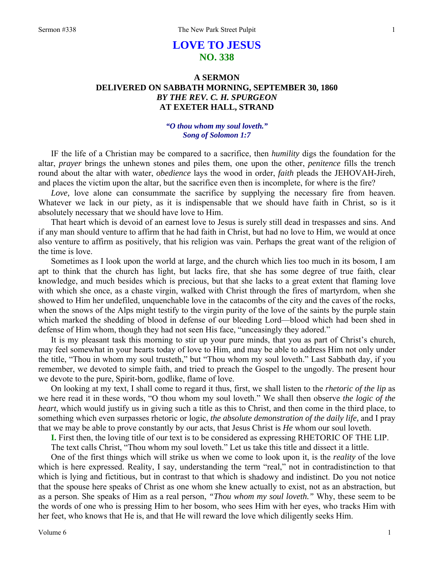# **LOVE TO JESUS NO. 338**

## **A SERMON DELIVERED ON SABBATH MORNING, SEPTEMBER 30, 1860**  *BY THE REV. C. H. SPURGEON*  **AT EXETER HALL, STRAND**

## *"O thou whom my soul loveth." Song of Solomon 1:7*

IF the life of a Christian may be compared to a sacrifice, then *humility* digs the foundation for the altar, *prayer* brings the unhewn stones and piles them, one upon the other, *penitence* fills the trench round about the altar with water, *obedience* lays the wood in order, *faith* pleads the JEHOVAH-Jireh, and places the victim upon the altar, but the sacrifice even then is incomplete, for where is the fire?

*Love*, love alone can consummate the sacrifice by supplying the necessary fire from heaven. Whatever we lack in our piety, as it is indispensable that we should have faith in Christ, so is it absolutely necessary that we should have love to Him.

That heart which is devoid of an earnest love to Jesus is surely still dead in trespasses and sins. And if any man should venture to affirm that he had faith in Christ, but had no love to Him, we would at once also venture to affirm as positively, that his religion was vain. Perhaps the great want of the religion of the time is love.

Sometimes as I look upon the world at large, and the church which lies too much in its bosom, I am apt to think that the church has light, but lacks fire, that she has some degree of true faith, clear knowledge, and much besides which is precious, but that she lacks to a great extent that flaming love with which she once, as a chaste virgin, walked with Christ through the fires of martyrdom, when she showed to Him her undefiled, unquenchable love in the catacombs of the city and the caves of the rocks, when the snows of the Alps might testify to the virgin purity of the love of the saints by the purple stain which marked the shedding of blood in defense of our bleeding Lord—blood which had been shed in defense of Him whom, though they had not seen His face, "unceasingly they adored."

It is my pleasant task this morning to stir up your pure minds, that you as part of Christ's church, may feel somewhat in your hearts today of love to Him, and may be able to address Him not only under the title, "Thou in whom my soul trusteth," but "Thou whom my soul loveth." Last Sabbath day, if you remember, we devoted to simple faith, and tried to preach the Gospel to the ungodly. The present hour we devote to the pure, Spirit-born, godlike, flame of love.

On looking at my text, I shall come to regard it thus, first, we shall listen to the *rhetoric of the lip* as we here read it in these words, "O thou whom my soul loveth." We shall then observe *the logic of the heart,* which would justify us in giving such a title as this to Christ, and then come in the third place, to something which even surpasses rhetoric or logic, *the absolute demonstration of the daily life,* and I pray that we may be able to prove constantly by our acts, that Jesus Christ is *He* whom our soul loveth.

**I.** First then, the loving title of our text is to be considered as expressing RHETORIC OF THE LIP. The text calls Christ, "Thou whom my soul loveth." Let us take this title and dissect it a little.

One of the first things which will strike us when we come to look upon it, is the *reality* of the love which is here expressed. Reality, I say, understanding the term "real," not in contradistinction to that which is lying and fictitious, but in contrast to that which is shadowy and indistinct. Do you not notice that the spouse here speaks of Christ as one whom she knew actually to exist, not as an abstraction, but as a person. She speaks of Him as a real person, *"Thou whom my soul loveth."* Why, these seem to be the words of one who is pressing Him to her bosom, who sees Him with her eyes, who tracks Him with her feet, who knows that He is, and that He will reward the love which diligently seeks Him.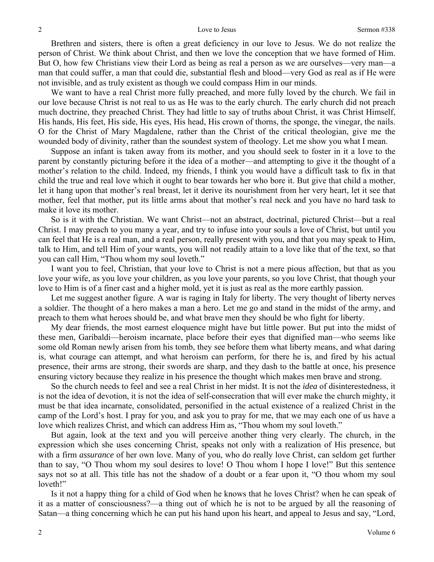#### Love to Jesus Sermon #338

Brethren and sisters, there is often a great deficiency in our love to Jesus. We do not realize the person of Christ. We think about Christ, and then we love the conception that we have formed of Him. But O, how few Christians view their Lord as being as real a person as we are ourselves—very man—a man that could suffer, a man that could die, substantial flesh and blood—very God as real as if He were not invisible, and as truly existent as though we could compass Him in our minds.

We want to have a real Christ more fully preached, and more fully loved by the church. We fail in our love because Christ is not real to us as He was to the early church. The early church did not preach much doctrine, they preached Christ. They had little to say of truths about Christ, it was Christ Himself, His hands, His feet, His side, His eyes, His head, His crown of thorns, the sponge, the vinegar, the nails. O for the Christ of Mary Magdalene, rather than the Christ of the critical theologian, give me the wounded body of divinity, rather than the soundest system of theology. Let me show you what I mean.

Suppose an infant is taken away from its mother, and you should seek to foster in it a love to the parent by constantly picturing before it the idea of a mother—and attempting to give it the thought of a mother's relation to the child. Indeed, my friends, I think you would have a difficult task to fix in that child the true and real love which it ought to bear towards her who bore it. But give that child a mother, let it hang upon that mother's real breast, let it derive its nourishment from her very heart, let it see that mother, feel that mother, put its little arms about that mother's real neck and you have no hard task to make it love its mother.

So is it with the Christian. We want Christ—not an abstract, doctrinal, pictured Christ—but a real Christ. I may preach to you many a year, and try to infuse into your souls a love of Christ, but until you can feel that He is a real man, and a real person, really present with you, and that you may speak to Him, talk to Him, and tell Him of your wants, you will not readily attain to a love like that of the text, so that you can call Him, "Thou whom my soul loveth."

I want you to feel, Christian, that your love to Christ is not a mere pious affection, but that as you love your wife, as you love your children, as you love your parents, so you love Christ, that though your love to Him is of a finer cast and a higher mold, yet it is just as real as the more earthly passion.

Let me suggest another figure. A war is raging in Italy for liberty. The very thought of liberty nerves a soldier. The thought of a hero makes a man a hero. Let me go and stand in the midst of the army, and preach to them what heroes should be, and what brave men they should be who fight for liberty.

My dear friends, the most earnest eloquence might have but little power. But put into the midst of these men, Garibaldi—heroism incarnate, place before their eyes that dignified man—who seems like some old Roman newly arisen from his tomb, they see before them what liberty means, and what daring is, what courage can attempt, and what heroism can perform, for there he is, and fired by his actual presence, their arms are strong, their swords are sharp, and they dash to the battle at once, his presence ensuring victory because they realize in his presence the thought which makes men brave and strong.

So the church needs to feel and see a real Christ in her midst. It is not the *idea* of disinterestedness, it is not the idea of devotion, it is not the idea of self-consecration that will ever make the church mighty, it must be that idea incarnate, consolidated, personified in the actual existence of a realized Christ in the camp of the Lord's host. I pray for you, and ask you to pray for me, that we may each one of us have a love which realizes Christ, and which can address Him as, "Thou whom my soul loveth."

But again, look at the text and you will perceive another thing very clearly. The church, in the expression which she uses concerning Christ, speaks not only with a realization of His presence, but with a firm *assurance* of her own love. Many of you, who do really love Christ, can seldom get further than to say, "O Thou whom my soul desires to love! O Thou whom I hope I love!" But this sentence says not so at all. This title has not the shadow of a doubt or a fear upon it, "O thou whom my soul loveth!"

Is it not a happy thing for a child of God when he knows that he loves Christ? when he can speak of it as a matter of consciousness?—a thing out of which he is not to be argued by all the reasoning of Satan—a thing concerning which he can put his hand upon his heart, and appeal to Jesus and say, "Lord,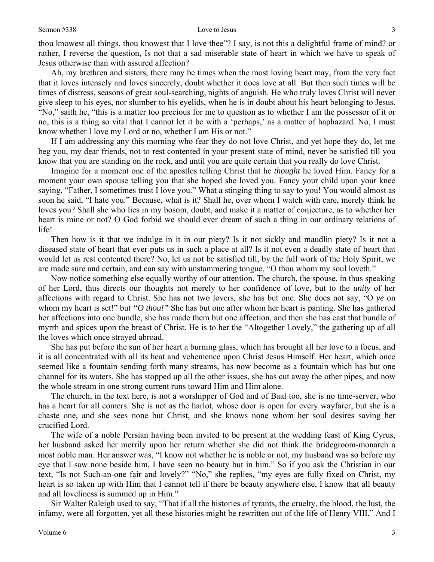### Sermon #338 Love to Jesus

thou knowest all things, thou knowest that I love thee"? I say, is not this a delightful frame of mind? or rather, I reverse the question, Is not that a sad miserable state of heart in which we have to speak of Jesus otherwise than with assured affection?

Ah, my brethren and sisters, there may be times when the most loving heart may, from the very fact that it loves intensely and loves sincerely, doubt whether it does love at all. But then such times will be times of distress, seasons of great soul-searching, nights of anguish. He who truly loves Christ will never give sleep to his eyes, nor slumber to his eyelids, when he is in doubt about his heart belonging to Jesus. "No," saith he, "this is a matter too precious for me to question as to whether I am the possessor of it or no, this is a thing so vital that I cannot let it be with a 'perhaps,' as a matter of haphazard. No, I must know whether I love my Lord or no, whether I am His or not."

If I am addressing any this morning who fear they do not love Christ, and yet hope they do, let me beg you, my dear friends, not to rest contented in your present state of mind, never be satisfied till you know that you are standing on the rock, and until you are quite certain that you really do love Christ.

Imagine for a moment one of the apostles telling Christ that he *thought* he loved Him. Fancy for a moment your own spouse telling you that she hoped she loved you. Fancy your child upon your knee saying, "Father, I sometimes trust I love you." What a stinging thing to say to you! You would almost as soon he said, "I hate you." Because, what is it? Shall he, over whom I watch with care, merely think he loves you? Shall she who lies in my bosom, doubt, and make it a matter of conjecture, as to whether her heart is mine or not? O God forbid we should ever dream of such a thing in our ordinary relations of life!

Then how is it that we indulge in it in our piety? Is it not sickly and maudlin piety? Is it not a diseased state of heart that ever puts us in such a place at all? Is it not even a deadly state of heart that would let us rest contented there? No, let us not be satisfied till, by the full work of the Holy Spirit, we are made sure and certain, and can say with unstammering tongue, "O thou whom my soul loveth."

Now notice something else equally worthy of our attention. The church, the spouse, in thus speaking of her Lord, thus directs our thoughts not merely to her confidence of love, but to the *unity* of her affections with regard to Christ. She has not two lovers, she has but one. She does not say, "O *ye* on whom my heart is set!" but *"O thou!"* She has but one after whom her heart is panting. She has gathered her affections into one bundle, she has made them but one affection, and then she has cast that bundle of myrrh and spices upon the breast of Christ. He is to her the "Altogether Lovely," the gathering up of all the loves which once strayed abroad.

She has put before the sun of her heart a burning glass, which has brought all her love to a focus, and it is all concentrated with all its heat and vehemence upon Christ Jesus Himself. Her heart, which once seemed like a fountain sending forth many streams, has now become as a fountain which has but one channel for its waters. She has stopped up all the other issues, she has cut away the other pipes, and now the whole stream in one strong current runs toward Him and Him alone.

The church, in the text here, is not a worshipper of God and of Baal too, she is no time-server, who has a heart for all comers. She is not as the harlot, whose door is open for every wayfarer, but she is a chaste one, and she sees none but Christ, and she knows none whom her soul desires saving her crucified Lord.

The wife of a noble Persian having been invited to be present at the wedding feast of King Cyrus, her husband asked her merrily upon her return whether she did not think the bridegroom-monarch a most noble man. Her answer was, "I know not whether he is noble or not, my husband was so before my eye that I saw none beside him, I have seen no beauty but in him." So if you ask the Christian in our text, "Is not Such-an-one fair and lovely?" "No," she replies, "my eyes are fully fixed on Christ, my heart is so taken up with Him that I cannot tell if there be beauty anywhere else, I know that all beauty and all loveliness is summed up in Him."

Sir Walter Raleigh used to say, "That if all the histories of tyrants, the cruelty, the blood, the lust, the infamy, were all forgotten, yet all these histories might be rewritten out of the life of Henry VIII." And I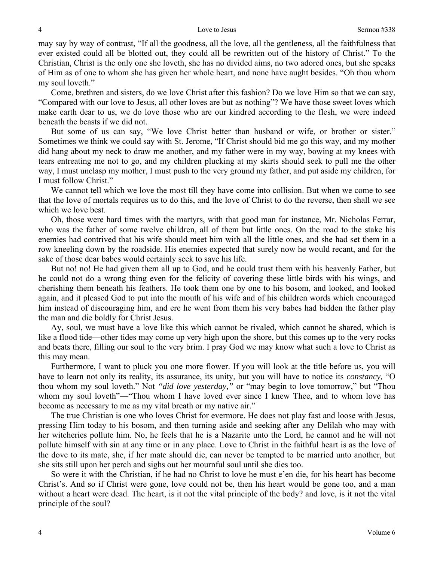may say by way of contrast, "If all the goodness, all the love, all the gentleness, all the faithfulness that ever existed could all be blotted out, they could all be rewritten out of the history of Christ." To the Christian, Christ is the only one she loveth, she has no divided aims, no two adored ones, but she speaks of Him as of one to whom she has given her whole heart, and none have aught besides. "Oh thou whom my soul loveth."

Come, brethren and sisters, do we love Christ after this fashion? Do we love Him so that we can say, "Compared with our love to Jesus, all other loves are but as nothing"? We have those sweet loves which make earth dear to us, we do love those who are our kindred according to the flesh, we were indeed beneath the beasts if we did not.

But some of us can say, "We love Christ better than husband or wife, or brother or sister." Sometimes we think we could say with St. Jerome, "If Christ should bid me go this way, and my mother did hang about my neck to draw me another, and my father were in my way, bowing at my knees with tears entreating me not to go, and my children plucking at my skirts should seek to pull me the other way, I must unclasp my mother, I must push to the very ground my father, and put aside my children, for I must follow Christ."

We cannot tell which we love the most till they have come into collision. But when we come to see that the love of mortals requires us to do this, and the love of Christ to do the reverse, then shall we see which we love best.

Oh, those were hard times with the martyrs, with that good man for instance, Mr. Nicholas Ferrar, who was the father of some twelve children, all of them but little ones. On the road to the stake his enemies had contrived that his wife should meet him with all the little ones, and she had set them in a row kneeling down by the roadside. His enemies expected that surely now he would recant, and for the sake of those dear babes would certainly seek to save his life.

But no! no! He had given them all up to God, and he could trust them with his heavenly Father, but he could not do a wrong thing even for the felicity of covering these little birds with his wings, and cherishing them beneath his feathers. He took them one by one to his bosom, and looked, and looked again, and it pleased God to put into the mouth of his wife and of his children words which encouraged him instead of discouraging him, and ere he went from them his very babes had bidden the father play the man and die boldly for Christ Jesus.

Ay, soul, we must have a love like this which cannot be rivaled, which cannot be shared, which is like a flood tide—other tides may come up very high upon the shore, but this comes up to the very rocks and beats there, filling our soul to the very brim. I pray God we may know what such a love to Christ as this may mean.

Furthermore, I want to pluck you one more flower. If you will look at the title before us, you will have to learn not only its reality, its assurance, its unity, but you will have to notice its *constancy,* "O thou whom my soul loveth." Not *"did love yesterday,"* or "may begin to love tomorrow," but "Thou whom my soul loveth"—"Thou whom I have loved ever since I knew Thee, and to whom love has become as necessary to me as my vital breath or my native air."

The true Christian is one who loves Christ for evermore. He does not play fast and loose with Jesus, pressing Him today to his bosom, and then turning aside and seeking after any Delilah who may with her witcheries pollute him. No, he feels that he is a Nazarite unto the Lord, he cannot and he will not pollute himself with sin at any time or in any place. Love to Christ in the faithful heart is as the love of the dove to its mate, she, if her mate should die, can never be tempted to be married unto another, but she sits still upon her perch and sighs out her mournful soul until she dies too.

So were it with the Christian, if he had no Christ to love he must e'en die, for his heart has become Christ's. And so if Christ were gone, love could not be, then his heart would be gone too, and a man without a heart were dead. The heart, is it not the vital principle of the body? and love, is it not the vital principle of the soul?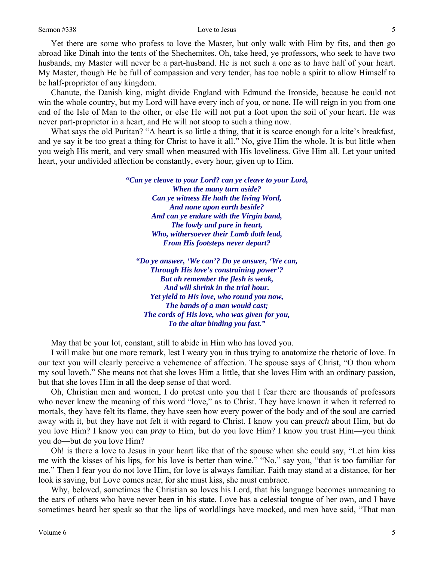Yet there are some who profess to love the Master, but only walk with Him by fits, and then go abroad like Dinah into the tents of the Shechemites. Oh, take heed, ye professors, who seek to have two husbands, my Master will never be a part-husband. He is not such a one as to have half of your heart. My Master, though He be full of compassion and very tender, has too noble a spirit to allow Himself to be half-proprietor of any kingdom.

Chanute, the Danish king, might divide England with Edmund the Ironside, because he could not win the whole country, but my Lord will have every inch of you, or none. He will reign in you from one end of the Isle of Man to the other, or else He will not put a foot upon the soil of your heart. He was never part-proprietor in a heart, and He will not stoop to such a thing now.

What says the old Puritan? "A heart is so little a thing, that it is scarce enough for a kite's breakfast, and ye say it be too great a thing for Christ to have it all." No, give Him the whole. It is but little when you weigh His merit, and very small when measured with His loveliness. Give Him all. Let your united heart, your undivided affection be constantly, every hour, given up to Him.

> *"Can ye cleave to your Lord? can ye cleave to your Lord, When the many turn aside? Can ye witness He hath the living Word, And none upon earth beside? And can ye endure with the Virgin band, The lowly and pure in heart, Who, withersoever their Lamb doth lead, From His footsteps never depart?*

*"Do ye answer, 'We can'? Do ye answer, 'We can, Through His love's constraining power'? But ah remember the flesh is weak, And will shrink in the trial hour. Yet yield to His love, who round you now, The bands of a man would cast; The cords of His love, who was given for you, To the altar binding you fast."* 

May that be your lot, constant, still to abide in Him who has loved you.

I will make but one more remark, lest I weary you in thus trying to anatomize the rhetoric of love. In our text you will clearly perceive a vehemence of affection. The spouse says of Christ, "O thou whom my soul loveth." She means not that she loves Him a little, that she loves Him with an ordinary passion, but that she loves Him in all the deep sense of that word.

Oh, Christian men and women, I do protest unto you that I fear there are thousands of professors who never knew the meaning of this word "love," as to Christ. They have known it when it referred to mortals, they have felt its flame, they have seen how every power of the body and of the soul are carried away with it, but they have not felt it with regard to Christ. I know you can *preach* about Him, but do you love Him? I know you can *pray* to Him, but do you love Him? I know you trust Him—you think you do—but do you love Him?

Oh! is there a love to Jesus in your heart like that of the spouse when she could say, "Let him kiss me with the kisses of his lips, for his love is better than wine." "No," say you, "that is too familiar for me." Then I fear you do not love Him, for love is always familiar. Faith may stand at a distance, for her look is saving, but Love comes near, for she must kiss, she must embrace.

Why, beloved, sometimes the Christian so loves his Lord, that his language becomes unmeaning to the ears of others who have never been in his state. Love has a celestial tongue of her own, and I have sometimes heard her speak so that the lips of worldlings have mocked, and men have said, "That man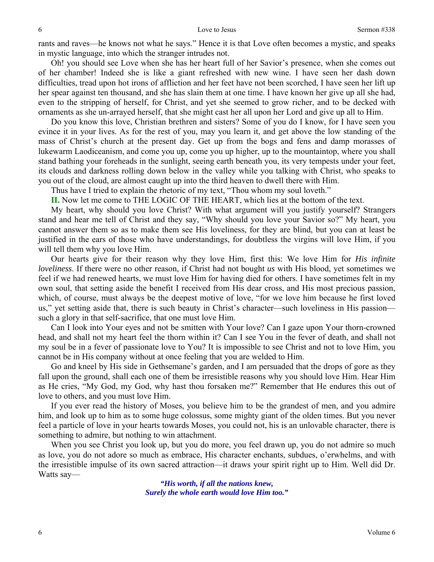rants and raves—he knows not what he says." Hence it is that Love often becomes a mystic, and speaks in mystic language, into which the stranger intrudes not.

Oh! you should see Love when she has her heart full of her Savior's presence, when she comes out of her chamber! Indeed she is like a giant refreshed with new wine. I have seen her dash down difficulties, tread upon hot irons of affliction and her feet have not been scorched, I have seen her lift up her spear against ten thousand, and she has slain them at one time. I have known her give up all she had, even to the stripping of herself, for Christ, and yet she seemed to grow richer, and to be decked with ornaments as she un-arrayed herself, that she might cast her all upon her Lord and give up all to Him.

Do you know this love, Christian brethren and sisters? Some of you do I know, for I have seen you evince it in your lives. As for the rest of you, may you learn it, and get above the low standing of the mass of Christ's church at the present day. Get up from the bogs and fens and damp morasses of lukewarm Laodiceanism, and come you up, come you up higher, up to the mountaintop, where you shall stand bathing your foreheads in the sunlight, seeing earth beneath you, its very tempests under your feet, its clouds and darkness rolling down below in the valley while you talking with Christ, who speaks to you out of the cloud, are almost caught up into the third heaven to dwell there with Him.

Thus have I tried to explain the rhetoric of my text, "Thou whom my soul loveth."

**II.** Now let me come to THE LOGIC OF THE HEART, which lies at the bottom of the text.

My heart, why should you love Christ? With what argument will you justify yourself? Strangers stand and hear me tell of Christ and they say, "Why should you love your Savior so?" My heart, you cannot answer them so as to make them see His loveliness, for they are blind, but you can at least be justified in the ears of those who have understandings, for doubtless the virgins will love Him, if you will tell them why you love Him.

Our hearts give for their reason why they love Him, first this: We love Him for *His infinite loveliness*. If there were no other reason, if Christ had not bought *us* with His blood, yet sometimes we feel if we had renewed hearts, we must love Him for having died for others. I have sometimes felt in my own soul, that setting aside the benefit I received from His dear cross, and His most precious passion, which, of course, must always be the deepest motive of love, "for we love him because he first loved us," yet setting aside that, there is such beauty in Christ's character—such loveliness in His passion such a glory in that self-sacrifice, that one must love Him.

Can I look into Your eyes and not be smitten with Your love? Can I gaze upon Your thorn-crowned head, and shall not my heart feel the thorn within it? Can I see You in the fever of death, and shall not my soul be in a fever of passionate love to You? It is impossible to see Christ and not to love Him, you cannot be in His company without at once feeling that you are welded to Him.

Go and kneel by His side in Gethsemane's garden, and I am persuaded that the drops of gore as they fall upon the ground, shall each one of them be irresistible reasons why you should love Him. Hear Him as He cries, "My God, my God, why hast thou forsaken me?" Remember that He endures this out of love to others, and you must love Him.

If you ever read the history of Moses, you believe him to be the grandest of men, and you admire him, and look up to him as to some huge colossus, some mighty giant of the olden times. But you never feel a particle of love in your hearts towards Moses, you could not, his is an unlovable character, there is something to admire, but nothing to win attachment.

When you see Christ you look up, but you do more, you feel drawn up, you do not admire so much as love, you do not adore so much as embrace, His character enchants, subdues, o'erwhelms, and with the irresistible impulse of its own sacred attraction—it draws your spirit right up to Him. Well did Dr. Watts say—

> *"His worth, if all the nations knew, Surely the whole earth would love Him too."*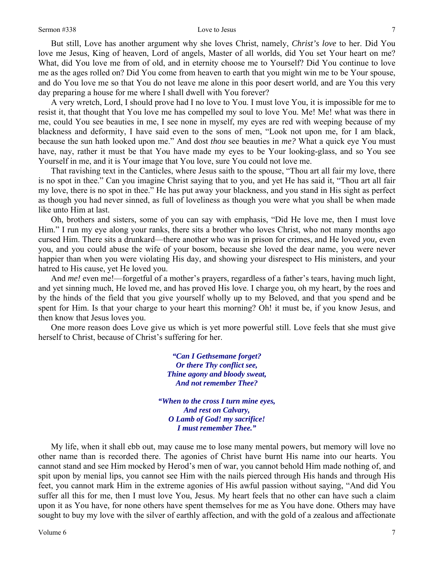#### Sermon #338 Love to Jesus

But still, Love has another argument why she loves Christ, namely, *Christ's love* to her. Did You love me Jesus, King of heaven, Lord of angels, Master of all worlds, did You set Your heart on me? What, did You love me from of old, and in eternity choose me to Yourself? Did You continue to love me as the ages rolled on? Did You come from heaven to earth that you might win me to be Your spouse, and do You love me so that You do not leave me alone in this poor desert world, and are You this very day preparing a house for me where I shall dwell with You forever?

A very wretch, Lord, I should prove had I no love to You. I must love You, it is impossible for me to resist it, that thought that You love me has compelled my soul to love You. Me! Me! what was there in me, could You see beauties in me, I see none in myself, my eyes are red with weeping because of my blackness and deformity, I have said even to the sons of men, "Look not upon me, for I am black, because the sun hath looked upon me." And dost *thou* see beauties in *me?* What a quick eye You must have, nay, rather it must be that You have made my eyes to be Your looking-glass, and so You see Yourself in me, and it is Your image that You love, sure You could not love me.

That ravishing text in the Canticles, where Jesus saith to the spouse, "Thou art all fair my love, there is no spot in thee." Can you imagine Christ saying that to you, and yet He has said it, "Thou art all fair my love, there is no spot in thee." He has put away your blackness, and you stand in His sight as perfect as though you had never sinned, as full of loveliness as though you were what you shall be when made like unto Him at last.

Oh, brothers and sisters, some of you can say with emphasis, "Did He love me, then I must love Him." I run my eye along your ranks, there sits a brother who loves Christ, who not many months ago cursed Him. There sits a drunkard—there another who was in prison for crimes, and He loved *you,* even you, and you could abuse the wife of your bosom, because she loved the dear name, you were never happier than when you were violating His day, and showing your disrespect to His ministers, and your hatred to His cause, yet He loved you.

And *me!* even me!—forgetful of a mother's prayers, regardless of a father's tears, having much light, and yet sinning much, He loved me, and has proved His love. I charge you, oh my heart, by the roes and by the hinds of the field that you give yourself wholly up to my Beloved, and that you spend and be spent for Him. Is that your charge to your heart this morning? Oh! it must be, if you know Jesus, and then know that Jesus loves you.

One more reason does Love give us which is yet more powerful still. Love feels that she must give herself to Christ, because of Christ's suffering for her.

> *"Can I Gethsemane forget? Or there Thy conflict see, Thine agony and bloody sweat, And not remember Thee?*

*"When to the cross I turn mine eyes, And rest on Calvary, O Lamb of God! my sacrifice! I must remember Thee."* 

My life, when it shall ebb out, may cause me to lose many mental powers, but memory will love no other name than is recorded there. The agonies of Christ have burnt His name into our hearts. You cannot stand and see Him mocked by Herod's men of war, you cannot behold Him made nothing of, and spit upon by menial lips, you cannot see Him with the nails pierced through His hands and through His feet, you cannot mark Him in the extreme agonies of His awful passion without saying, "And did You suffer all this for me, then I must love You, Jesus. My heart feels that no other can have such a claim upon it as You have, for none others have spent themselves for me as You have done. Others may have sought to buy my love with the silver of earthly affection, and with the gold of a zealous and affectionate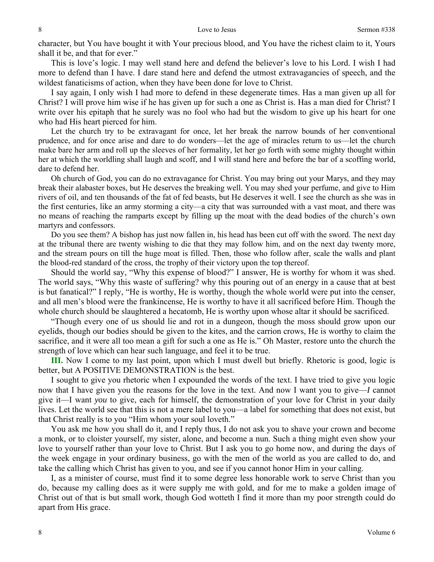character, but You have bought it with Your precious blood, and You have the richest claim to it, Yours shall it be, and that for ever."

This is love's logic. I may well stand here and defend the believer's love to his Lord. I wish I had more to defend than I have. I dare stand here and defend the utmost extravagancies of speech, and the wildest fanaticisms of action, when they have been done for love to Christ.

I say again, I only wish I had more to defend in these degenerate times. Has a man given up all for Christ? I will prove him wise if he has given up for such a one as Christ is. Has a man died for Christ? I write over his epitaph that he surely was no fool who had but the wisdom to give up his heart for one who had His heart pierced for him.

Let the church try to be extravagant for once, let her break the narrow bounds of her conventional prudence, and for once arise and dare to do wonders—let the age of miracles return to us—let the church make bare her arm and roll up the sleeves of her formality, let her go forth with some mighty thought within her at which the worldling shall laugh and scoff, and I will stand here and before the bar of a scoffing world, dare to defend her.

Oh church of God, you can do no extravagance for Christ. You may bring out your Marys, and they may break their alabaster boxes, but He deserves the breaking well. You may shed your perfume, and give to Him rivers of oil, and ten thousands of the fat of fed beasts, but He deserves it well. I see the church as she was in the first centuries, like an army storming a city—a city that was surrounded with a vast moat, and there was no means of reaching the ramparts except by filling up the moat with the dead bodies of the church's own martyrs and confessors.

Do you see them? A bishop has just now fallen in, his head has been cut off with the sword. The next day at the tribunal there are twenty wishing to die that they may follow him, and on the next day twenty more, and the stream pours on till the huge moat is filled. Then, those who follow after, scale the walls and plant the blood-red standard of the cross, the trophy of their victory upon the top thereof.

Should the world say, "Why this expense of blood?" I answer, He is worthy for whom it was shed. The world says, "Why this waste of suffering? why this pouring out of an energy in a cause that at best is but fanatical?" I reply, "He is worthy, He is worthy, though the whole world were put into the censer, and all men's blood were the frankincense, He is worthy to have it all sacrificed before Him. Though the whole church should be slaughtered a hecatomb, He is worthy upon whose altar it should be sacrificed.

"Though every one of us should lie and rot in a dungeon, though the moss should grow upon our eyelids, though our bodies should be given to the kites, and the carrion crows, He is worthy to claim the sacrifice, and it were all too mean a gift for such a one as He is." Oh Master, restore unto the church the strength of love which can hear such language, and feel it to be true.

**III.** Now I come to my last point, upon which I must dwell but briefly. Rhetoric is good, logic is better, but A POSITIVE DEMONSTRATION is the best.

I sought to give you rhetoric when I expounded the words of the text. I have tried to give you logic now that I have given you the reasons for the love in the text. And now I want you to give—*I* cannot give it—I want *you* to give, each for himself, the demonstration of your love for Christ in your daily lives. Let the world see that this is not a mere label to you—a label for something that does not exist, but that Christ really is to you "Him whom your soul loveth."

You ask me how you shall do it, and I reply thus, I do not ask you to shave your crown and become a monk, or to cloister yourself, my sister, alone, and become a nun. Such a thing might even show your love to yourself rather than your love to Christ. But I ask you to go home now, and during the days of the week engage in your ordinary business, go with the men of the world as you are called to do, and take the calling which Christ has given to you, and see if you cannot honor Him in your calling.

I, as a minister of course, must find it to some degree less honorable work to serve Christ than you do, because my calling does as it were supply me with gold, and for me to make a golden image of Christ out of that is but small work, though God wotteth I find it more than my poor strength could do apart from His grace.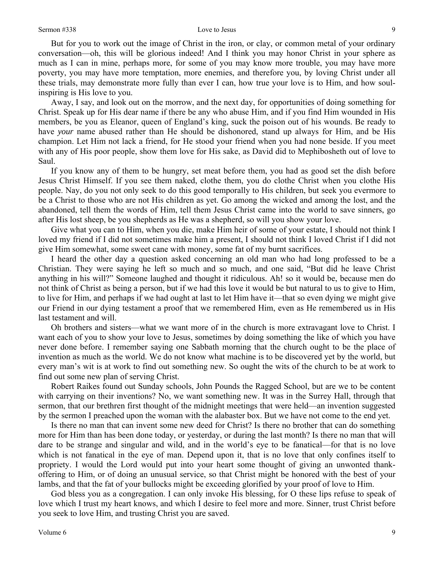But for you to work out the image of Christ in the iron, or clay, or common metal of your ordinary conversation—oh, this will be glorious indeed! And I think you may honor Christ in your sphere as much as I can in mine, perhaps more, for some of you may know more trouble, you may have more poverty, you may have more temptation, more enemies, and therefore you, by loving Christ under all these trials, may demonstrate more fully than ever I can, how true your love is to Him, and how soulinspiring is His love to you.

Away, I say, and look out on the morrow, and the next day, for opportunities of doing something for Christ. Speak up for His dear name if there be any who abuse Him, and if you find Him wounded in His members, be you as Eleanor, queen of England's king, suck the poison out of his wounds. Be ready to have *your* name abused rather than He should be dishonored, stand up always for Him, and be His champion. Let Him not lack a friend, for He stood your friend when you had none beside. If you meet with any of His poor people, show them love for His sake, as David did to Mephibosheth out of love to Saul.

If you know any of them to be hungry, set meat before them, you had as good set the dish before Jesus Christ Himself. If you see them naked, clothe them, you do clothe Christ when you clothe His people. Nay, do you not only seek to do this good temporally to His children, but seek you evermore to be a Christ to those who are not His children as yet. Go among the wicked and among the lost, and the abandoned, tell them the words of Him, tell them Jesus Christ came into the world to save sinners, go after His lost sheep, be you shepherds as He was a shepherd, so will you show your love.

Give what you can to Him, when you die, make Him heir of some of your estate, I should not think I loved my friend if I did not sometimes make him a present, I should not think I loved Christ if I did not give Him somewhat, some sweet cane with money, some fat of my burnt sacrifices.

I heard the other day a question asked concerning an old man who had long professed to be a Christian. They were saying he left so much and so much, and one said, "But did he leave Christ anything in his will?" Someone laughed and thought it ridiculous. Ah! so it would be, because men do not think of Christ as being a person, but if we had this love it would be but natural to us to give to Him, to live for Him, and perhaps if we had ought at last to let Him have it—that so even dying we might give our Friend in our dying testament a proof that we remembered Him, even as He remembered us in His last testament and will.

Oh brothers and sisters—what we want more of in the church is more extravagant love to Christ. I want each of you to show your love to Jesus, sometimes by doing something the like of which you have never done before. I remember saying one Sabbath morning that the church ought to be the place of invention as much as the world. We do not know what machine is to be discovered yet by the world, but every man's wit is at work to find out something new. So ought the wits of the church to be at work to find out some new plan of serving Christ.

Robert Raikes found out Sunday schools, John Pounds the Ragged School, but are we to be content with carrying on their inventions? No, we want something new. It was in the Surrey Hall, through that sermon, that our brethren first thought of the midnight meetings that were held—an invention suggested by the sermon I preached upon the woman with the alabaster box. But we have not come to the end yet.

Is there no man that can invent some new deed for Christ? Is there no brother that can do something more for Him than has been done today, or yesterday, or during the last month? Is there no man that will dare to be strange and singular and wild, and in the world's eye to be fanatical—for that is no love which is not fanatical in the eye of man. Depend upon it, that is no love that only confines itself to propriety. I would the Lord would put into your heart some thought of giving an unwonted thankoffering to Him, or of doing an unusual service, so that Christ might be honored with the best of your lambs, and that the fat of your bullocks might be exceeding glorified by your proof of love to Him.

God bless you as a congregation. I can only invoke His blessing, for O these lips refuse to speak of love which I trust my heart knows, and which I desire to feel more and more. Sinner, trust Christ before you seek to love Him, and trusting Christ you are saved.